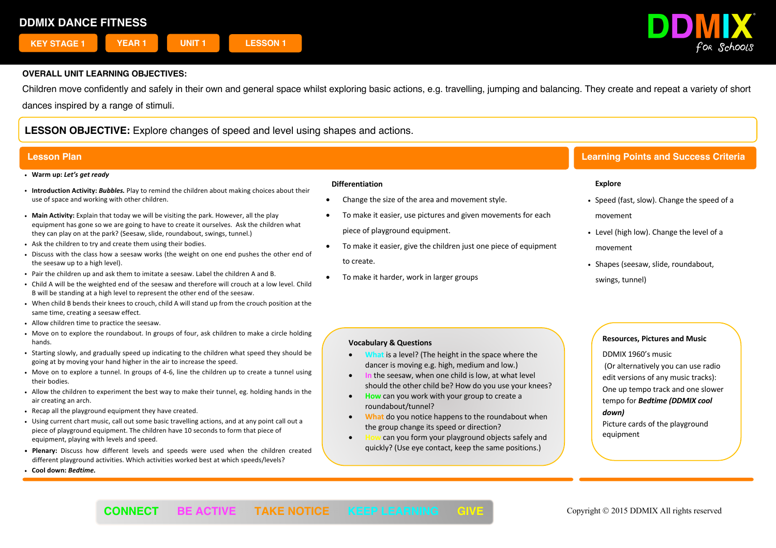

Children move confidently and safely in their own and general space whilst exploring basic actions, e.g. travelling, jumping and balancing. They create and repeat a variety of short dances inspired by a range of stimuli.

# **LESSON OBJECTIVE:** Explore changes of speed and level using shapes and actions.

- ! **Warm up:** *Let's get ready*
- ! **Introduction Activity:** *Bubbles.* Play to remind the children about making choices about their use of space and working with other children.
- ! **Main Activity:** Explain that today we will be visiting the park. However, all the play equipment has gone so we are going to have to create it ourselves. Ask the children what they can play on at the park? (Seesaw, slide, roundabout, swings, tunnel.)
- . Ask the children to try and create them using their bodies.
- ! Discuss with the class how a seesaw works (the weight on one end pushes the other end of the seesaw up to a high level).
- ! Pair the children up and ask them to imitate a seesaw. Label the children A and B.
- ! Child A will be the weighted end of the seesaw and therefore will crouch at a low level. Child B will be standing at a high level to represent the other end of the seesaw.
- ! When child B bends their knees to crouch, child A will stand up from the crouch position at the same time, creating a seesaw effect.
- . Allow children time to practice the seesaw.
- ! Move on to explore the roundabout. In groups of four, ask children to make a circle holding hands.
- ! Starting slowly, and gradually speed up indicating to the children what speed they should be going at by moving your hand higher in the air to increase the speed.
- ! Move on to explore a tunnel. In groups of 4-6, line the children up to create a tunnel using their bodies.
- ! Allow the children to experiment the best way to make their tunnel, eg. holding hands in the air creating an arch.
- . Recap all the playground equipment they have created.
- ! Using current chart music, call out some basic travelling actions, and at any point call out a piece of playground equipment. The children have 10 seconds to form that piece of equipment, playing with levels and speed.
- ! **Plenary:** Discuss how different levels and speeds were used when the children created different playground activities. Which activities worked best at which speeds/levels?
- ! **Cool down:** *Bedtime.*

### **Differentiation**

- Change the size of the area and movement style.
- To make it easier, use pictures and given movements for each piece of playground equipment.
- To make it easier, give the children just one piece of equipment to create.
- To make it harder, work in larger groups

## **Lesson Plan Learning Points and Success Criteria**

## **Explore**

- Speed (fast, slow). Change the speed of a movement
- Level (high low). Change the level of a movement
- Shapes (seesaw, slide, roundabout, swings, tunnel)

## **Vocabulary & Questions**

- **What** is a level? (The height in the space where the dancer is moving e.g. high, medium and low.)
- **In** the seesaw, when one child is low, at what level should the other child be? How do you use your knees?
- **How** can you work with your group to create a roundabout/tunnel?
- **What** do you notice happens to the roundabout when the group change its speed or direction?
- can you form your playground objects safely and quickly? (Use eye contact, keep the same positions.)

## **Resources, Pictures and Music**

DDMIX 1960's music

(Or alternatively you can use radio edit versions of any music tracks): One up tempo track and one slower tempo for *Bedtime (DDMIX cool down)*

Picture cards of the playground equipment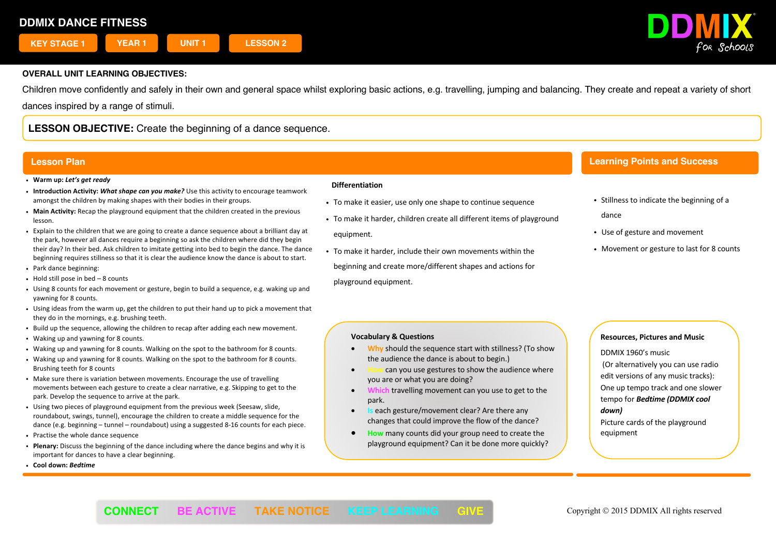

Children move confidently and safely in their own and general space whilst exploring basic actions, e.g. travelling, jumping and balancing. They create and repeat a variety of short dances inspired by a range of stimuli.

**LESSON OBJECTIVE:** Create the beginning of a dance sequence.

## **Lesson Plan**

- ! **Warm up:** *Let's get ready*
- ! **Introduction Activity:** *What shape can you make?* Use this activity to encourage teamwork amongst the children by making shapes with their bodies in their groups.
- ! **Main Activity:** Recap the playground equipment that the children created in the previous lesson.
- ! Explain to the children that we are going to create a dance sequence about a brilliant day at the park, however all dances require a beginning so ask the children where did they begin their day? In their bed. Ask children to imitate getting into bed to begin the dance. The dance beginning requires stillness so that it is clear the audience know the dance is about to start.
- ! Park dance beginning:
- $\cdot$  Hold still pose in bed 8 counts
- ! Using 8 counts for each movement or gesture, begin to build a sequence, e.g. waking up and yawning for 8 counts.
- ! Using ideas from the warm up, get the children to put their hand up to pick a movement that they do in the mornings, e.g. brushing teeth.
- ! Build up the sequence, allowing the children to recap after adding each new movement.
- . Waking up and yawning for 8 counts.
- ! Waking up and yawning for 8 counts. Walking on the spot to the bathroom for 8 counts.
- ! Waking up and yawning for 8 counts. Walking on the spot to the bathroom for 8 counts. Brushing teeth for 8 counts
- . Make sure there is variation between movements. Encourage the use of travelling movements between each gesture to create a clear narrative, e.g. Skipping to get to the park. Develop the sequence to arrive at the park.
- ! Using two pieces of playground equipment from the previous week (Seesaw, slide, roundabout, swings, tunnel), encourage the children to create a middle sequence for the dance (e.g. beginning – tunnel – roundabout) using a suggested 8-16 counts for each piece.
- Practise the whole dance sequence
- ! **Plenary:** Discuss the beginning of the dance including where the dance begins and why it is important for dances to have a clear beginning.
- ! **Cool down:** *Bedtime*

### **Differentiation**

- To make it easier, use only one shape to continue sequence
- . To make it harder, children create all different items of playground equipment.
- ! To make it harder, include their own movements within the beginning and create more/different shapes and actions for playground equipment.

## **Learning Points and Success**

**Criteria**

- . Stillness to indicate the beginning of a dance
- Use of gesture and movement
- Movement or gesture to last for 8 counts

## **Vocabulary & Questions**

- **Why** should the sequence start with stillness? (To show the audience the dance is about to begin.)
- **How** can you use gestures to show the audience where you are or what you are doing?
- **Which** travelling movement can you use to get to the park.
- **Is** each gesture/movement clear? Are there any changes that could improve the flow of the dance?
- **How** many counts did your group need to create the playground equipment? Can it be done more quickly?

## **Resources, Pictures and Music**

DDMIX 1960's music

(Or alternatively you can use radio edit versions of any music tracks): One up tempo track and one slower tempo for *Bedtime (DDMIX cool down)*

Picture cards of the playground equipment

# í **CONNECT BE ACTIVE TAKE NOTICE KEEP LEARNING GIVE** Copyright © 2015 DDMIX All rights reserved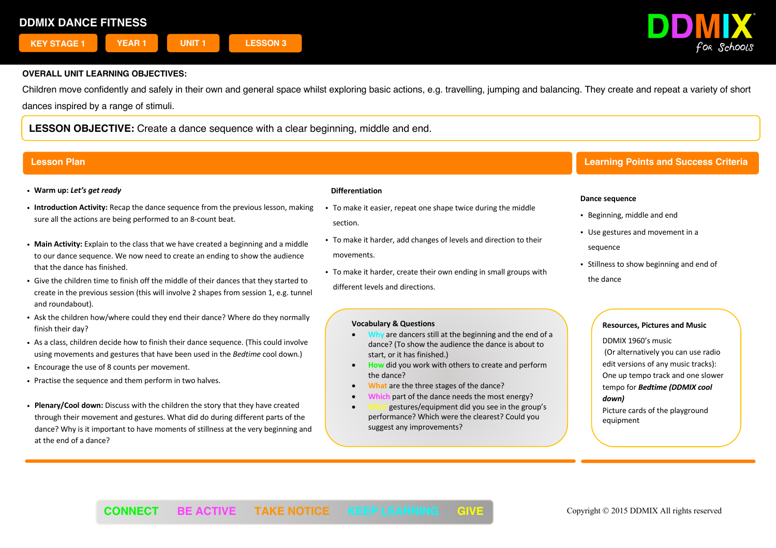

Children move confidently and safely in their own and general space whilst exploring basic actions, e.g. travelling, jumping and balancing. They create and repeat a variety of short dances inspired by a range of stimuli.

**LESSON OBJECTIVE:** Create a dance sequence with a clear beginning, middle and end.

- ! **Warm up:** *Let's get ready*
- ! **Introduction Activity:** Recap the dance sequence from the previous lesson, making sure all the actions are being performed to an 8-count beat.
- ! **Main Activity:** Explain to the class that we have created a beginning and a middle to our dance sequence. We now need to create an ending to show the audience that the dance has finished.
- ! Give the children time to finish off the middle of their dances that they started to create in the previous session (this will involve 2 shapes from session 1, e.g. tunnel and roundabout).
- ! Ask the children how/where could they end their dance? Where do they normally finish their day?
- ! As a class, children decide how to finish their dance sequence. (This could involve using movements and gestures that have been used in the *Bedtime* cool down.)
- Encourage the use of 8 counts per movement.
- . Practise the sequence and them perform in two halves.
- ! **Plenary/Cool down:** Discuss with the children the story that they have created through their movement and gestures. What did do during different parts of the dance? Why is it important to have moments of stillness at the very beginning and at the end of a dance?

## **Differentiation**

- . To make it easier, repeat one shape twice during the middle section.
- ! To make it harder, add changes of levels and direction to their movements.
- ! To make it harder, create their own ending in small groups with different levels and directions.

## **Vocabulary & Questions**

- **Why** are dancers still at the beginning and the end of a dance? (To show the audience the dance is about to start, or it has finished.)
- **How** did you work with others to create and perform the dance?
- **What** are the three stages of the dance?
- part of the dance needs the most energy?
- **What** gestures/equipment did you see in the group's performance? Which were the clearest? Could you suggest any improvements?

## **Lesson Plan Learning Points and Success Criteria**

### **Dance sequence**

- Beginning, middle and end
- Use gestures and movement in a sequence
- Stillness to show beginning and end of the dance

## **Resources, Pictures and Music**

DDMIX 1960's music (Or alternatively you can use radio edit versions of any music tracks): One up tempo track and one slower tempo for *Bedtime (DDMIX cool down)*

Picture cards of the playground equipment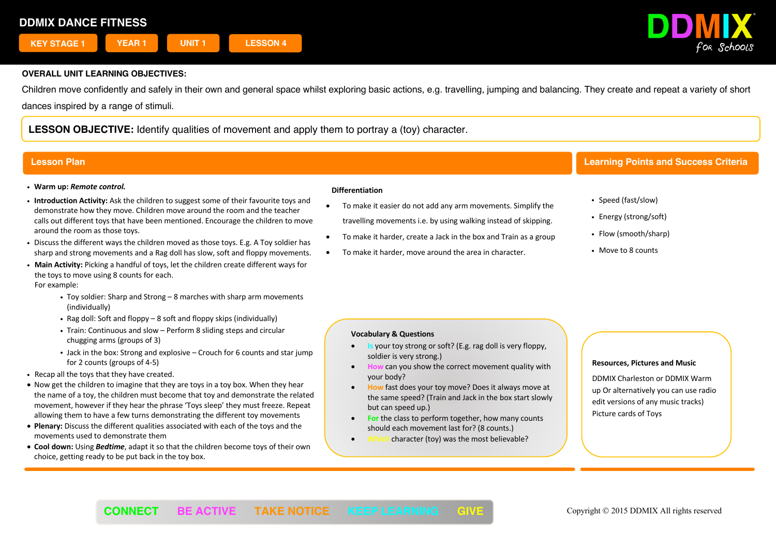

Children move confidently and safely in their own and general space whilst exploring basic actions, e.g. travelling, jumping and balancing. They create and repeat a variety of short dances inspired by a range of stimuli.

**LESSON OBJECTIVE:** Identify qualities of movement and apply them to portray a (toy) character.

## ! **Warm up:** *Remote control.*

- ! **Introduction Activity:** Ask the children to suggest some of their favourite toys and demonstrate how they move. Children move around the room and the teacher calls out different toys that have been mentioned. Encourage the children to move around the room as those toys.
- ! Discuss the different ways the children moved as those toys. E.g. A Toy soldier has sharp and strong movements and a Rag doll has slow, soft and floppy movements.
- ! **Main Activity:** Picking a handful of toys, let the children create different ways for the toys to move using 8 counts for each. For example:
	- Toy soldier: Sharp and Strong 8 marches with sharp arm movements (individually)
	- . Rag doll: Soft and floppy  $-8$  soft and floppy skips (individually)
	- Train: Continuous and slow Perform 8 sliding steps and circular chugging arms (groups of 3)
	- Jack in the box: Strong and explosive Crouch for 6 counts and star jump for 2 counts (groups of 4-5)
- . Recap all the toys that they have created.
- Now get the children to imagine that they are toys in a toy box. When they hear the name of a toy, the children must become that toy and demonstrate the related movement, however if they hear the phrase 'Toys sleep' they must freeze. Repeat allowing them to have a few turns demonstrating the different toy movements
- **Plenary:** Discuss the different qualities associated with each of the toys and the movements used to demonstrate them
- **Cool down:** Using *Bedtime*, adapt it so that the children become toys of their own choice, getting ready to be put back in the toy box.

### **Differentiation**

- To make it easier do not add any arm movements. Simplify the travelling movements i.e. by using walking instead of skipping.
- To make it harder, create a Jack in the box and Train as a group
- To make it harder, move around the area in character.

## **Lesson Plan Learning Points and Success Criteria**

- Speed (fast/slow)
- Energy (strong/soft)
- Flow (smooth/sharp)
- . Move to 8 counts

### **Vocabulary & Questions**

- **Is** your toy strong or soft? (E.g. rag doll is very floppy, soldier is very strong.)
- **How** can you show the correct movement quality with your body?
- **How** fast does your toy move? Does it always move at the same speed? (Train and Jack in the box start slowly but can speed up.)
- **For the class to perform together, how many counts** should each movement last for? (8 counts.)
- character (toy) was the most believable?

### **Resources, Pictures and Music**

DDMIX Charleston or DDMIX Warm up Or alternatively you can use radio edit versions of any music tracks) Picture cards of Toys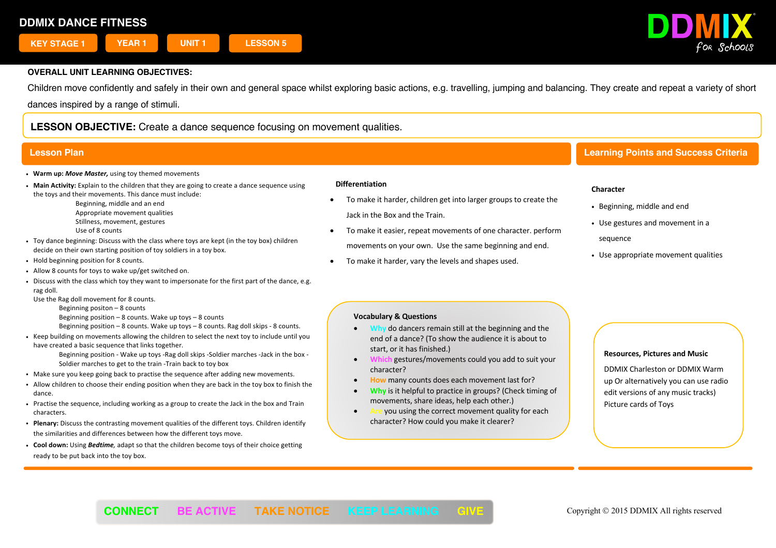

Children move confidently and safely in their own and general space whilst exploring basic actions, e.g. travelling, jumping and balancing. They create and repeat a variety of short dances inspired by a range of stimuli.

**LESSON OBJECTIVE:** Create a dance sequence focusing on movement qualities.

## **Lesson Plan Learning Points and Success Criteria**

- ! **Warm up:** *Move Master,* using toy themed movements
- ! **Main Activity:** Explain to the children that they are going to create a dance sequence using the toys and their movements. This dance must include:

Beginning, middle and an end

- Appropriate movement qualities
- Stillness, movement, gestures

Use of 8 counts

- ! Toy dance beginning: Discuss with the class where toys are kept (in the toy box) children decide on their own starting position of toy soldiers in a toy box.
- . Hold beginning position for 8 counts.
- . Allow 8 counts for toys to wake up/get switched on.
- . Discuss with the class which toy they want to impersonate for the first part of the dance, e.g. rag doll.

Use the Rag doll movement for 8 counts.

- Beginning positon 8 counts
- Beginning position  $-8$  counts. Wake up toys  $-8$  counts
- Beginning position 8 counts. Wake up toys 8 counts. Rag doll skips 8 counts.
- . Keep building on movements allowing the children to select the next toy to include until you have created a basic sequence that links together.

Beginning position - Wake up toys -Rag doll skips -Soldier marches -Jack in the box - Soldier marches to get to the train -Train back to toy box

- . Make sure you keep going back to practise the sequence after adding new movements.
- . Allow children to choose their ending position when they are back in the toy box to finish the dance
- ! Practise the sequence, including working as a group to create the Jack in the box and Train characters.
- ! **Plenary:** Discuss the contrasting movement qualities of the different toys. Children identify the similarities and differences between how the different toys move.
- ! **Cool down:** Using *Bedtime,* adapt so that the children become toys of their choice getting ready to be put back into the toy box.

### **Differentiation**

- To make it harder, children get into larger groups to create the Jack in the Box and the Train.
- To make it easier, repeat movements of one character. perform movements on your own. Use the same beginning and end.
- To make it harder, vary the levels and shapes used.

## **Character**

- ! Beginning, middle and end
- ! Use gestures and movement in a

sequence

. Use appropriate movement qualities

## **Vocabulary & Questions**

- **Why** do dancers remain still at the beginning and the end of a dance? (To show the audience it is about to start, or it has finished.)
- **Which** gestures/movements could you add to suit your character?
- **How** many counts does each movement last for?
- **Why** is it helpful to practice in groups? (Check timing of movements, share ideas, help each other.)
- you using the correct movement quality for each character? How could you make it clearer?

### **Resources, Pictures and Music**

DDMIX Charleston or DDMIX Warm up Or alternatively you can use radio edit versions of any music tracks) Picture cards of Toys